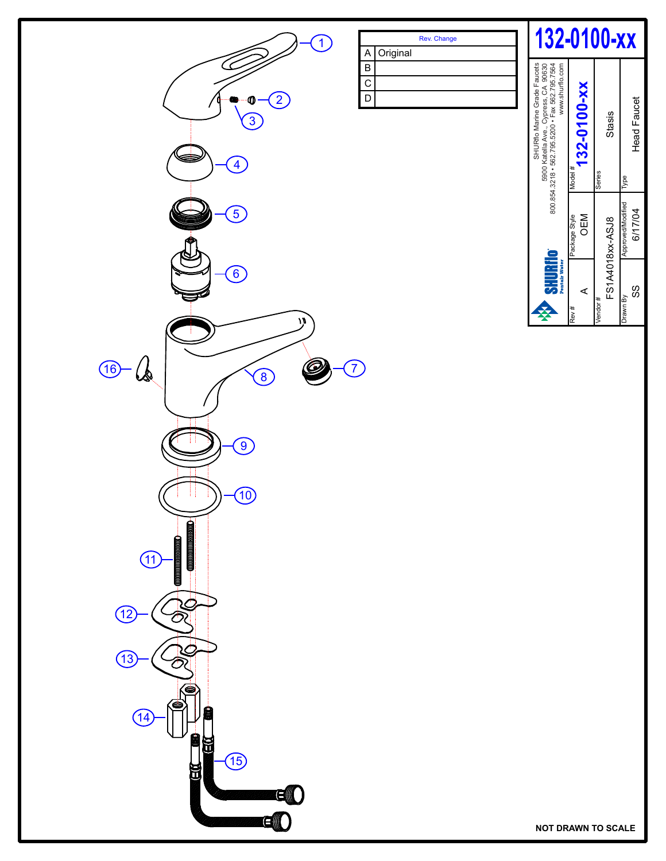

**NOT DRAWN TO SCALE** 

**Vendor** 

FS1A4018xx-ASJ8

A OEM

 $\blacktriangleleft$ 

Series

Type

Approved/Modified

Approved/Modified 6/17/04

Drawn By<br>SS

SS 6/17/04